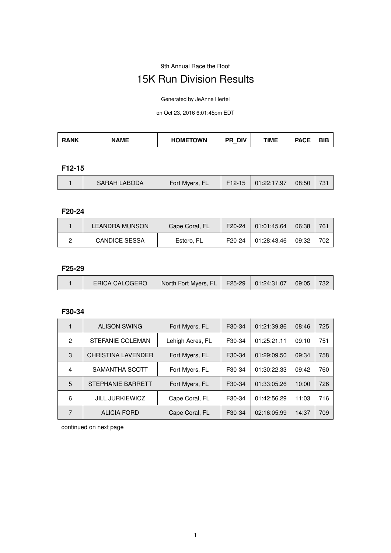#### 9th Annual Race the Roof

# 15K Run Division Results

Generated by JeAnne Hertel

on Oct 23, 2016 6:01:45pm EDT

| ۹NK | ١ME | <b>HOMETOWN</b> | DIV<br>DР | TIME | - | ---<br>ופ |
|-----|-----|-----------------|-----------|------|---|-----------|
|-----|-----|-----------------|-----------|------|---|-----------|

#### **F12-15**

|  | <b>SARAH LABODA</b> | Fort Myers, FL | $F12-15$ | 01:22:17.97 | 08:50 | $73^{\circ}$ |
|--|---------------------|----------------|----------|-------------|-------|--------------|
|--|---------------------|----------------|----------|-------------|-------|--------------|

#### **F20-24**

| LEANDRA MUNSON       | Cape Coral, FL | F <sub>20</sub> -24 | 01:01:45.64 | 06:38 | 761 |
|----------------------|----------------|---------------------|-------------|-------|-----|
| <b>CANDICE SESSA</b> | Estero, FL     | F20-24              | 01:28:43.46 | 09:32 | 702 |

## **F25-29**

| 09:05<br>North Fort Myers, FL   F25-29   01:24:31.07  <br><b>ERICA CALOGERO</b> | 732 |
|---------------------------------------------------------------------------------|-----|
|---------------------------------------------------------------------------------|-----|

#### **F30-34**

|              | <b>ALISON SWING</b>       | Fort Myers, FL   | F <sub>30</sub> -34 | 01:21:39.86 | 08:46 | 725 |
|--------------|---------------------------|------------------|---------------------|-------------|-------|-----|
| $\mathbf{2}$ | <b>STEFANIE COLEMAN</b>   | Lehigh Acres, FL | F <sub>30</sub> -34 | 01:25:21.11 | 09:10 | 751 |
| 3            | <b>CHRISTINA LAVENDER</b> | Fort Myers, FL   | F <sub>30</sub> -34 | 01:29:09.50 | 09:34 | 758 |
| 4            | SAMANTHA SCOTT            | Fort Myers, FL   | F <sub>30</sub> -34 | 01:30:22.33 | 09:42 | 760 |
| 5            | STEPHANIE BARRETT         | Fort Myers, FL   | F <sub>30</sub> -34 | 01:33:05.26 | 10:00 | 726 |
| 6            | <b>JILL JURKIEWICZ</b>    | Cape Coral, FL   | F30-34              | 01:42:56.29 | 11:03 | 716 |
| 7            | <b>ALICIA FORD</b>        | Cape Coral, FL   | F30-34              | 02:16:05.99 | 14:37 | 709 |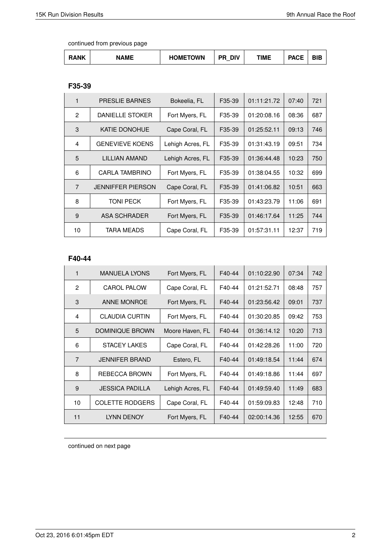| <b>RANK</b> | <b>NAME</b> | TOWN<br><b>IOML</b><br>-<br>∟ | <b>DIV</b><br>DС<br>- | TIME | <b>DAOF</b><br>nv, | -<br>31 C |
|-------------|-------------|-------------------------------|-----------------------|------|--------------------|-----------|
|-------------|-------------|-------------------------------|-----------------------|------|--------------------|-----------|

#### **F35-39**

| 1              | <b>PRESLIE BARNES</b>    | Bokeelia, FL     | F35-39 | 01:11:21.72 | 07:40 | 721 |
|----------------|--------------------------|------------------|--------|-------------|-------|-----|
| 2              | DANIELLE STOKER          | Fort Myers, FL   | F35-39 | 01:20:08.16 | 08:36 | 687 |
| 3              | <b>KATIE DONOHUE</b>     | Cape Coral, FL   | F35-39 | 01:25:52.11 | 09:13 | 746 |
| 4              | <b>GENEVIEVE KOENS</b>   | Lehigh Acres, FL | F35-39 | 01:31:43.19 | 09:51 | 734 |
| 5              | LILLIAN AMAND            | Lehigh Acres, FL | F35-39 | 01:36:44.48 | 10:23 | 750 |
| 6              | CARLA TAMBRINO           | Fort Myers, FL   | F35-39 | 01:38:04.55 | 10:32 | 699 |
| $\overline{7}$ | <b>JENNIFFER PIERSON</b> | Cape Coral, FL   | F35-39 | 01:41:06.82 | 10:51 | 663 |
| 8              | <b>TONI PECK</b>         | Fort Myers, FL   | F35-39 | 01:43:23.79 | 11:06 | 691 |
| 9              | ASA SCHRADER             | Fort Myers, FL   | F35-39 | 01:46:17.64 | 11:25 | 744 |
| 10             | TARA MEADS               | Cape Coral, FL   | F35-39 | 01:57:31.11 | 12:37 | 719 |

#### **F40-44**

| 1              | <b>MANUELA LYONS</b>   | Fort Myers, FL   | F40-44 | 01:10:22.90 | 07:34 | 742 |
|----------------|------------------------|------------------|--------|-------------|-------|-----|
| $\overline{2}$ | <b>CAROL PALOW</b>     | Cape Coral, FL   | F40-44 | 01:21:52.71 | 08:48 | 757 |
| 3              | <b>ANNE MONROE</b>     | Fort Myers, FL   | F40-44 | 01:23:56.42 | 09:01 | 737 |
| 4              | <b>CLAUDIA CURTIN</b>  | Fort Myers, FL   | F40-44 | 01:30:20.85 | 09:42 | 753 |
| 5              | <b>DOMINIQUE BROWN</b> | Moore Haven, FL  | F40-44 | 01:36:14.12 | 10:20 | 713 |
| 6              | STACEY LAKES           | Cape Coral, FL   | F40-44 | 01:42:28.26 | 11:00 | 720 |
| $\overline{7}$ | <b>JENNIFER BRAND</b>  | Estero, FL       | F40-44 | 01:49:18.54 | 11:44 | 674 |
| 8              | REBECCA BROWN          | Fort Myers, FL   | F40-44 | 01:49:18.86 | 11:44 | 697 |
| 9              | <b>JESSICA PADILLA</b> | Lehigh Acres, FL | F40-44 | 01:49:59.40 | 11:49 | 683 |
| 10             | <b>COLETTE RODGERS</b> | Cape Coral, FL   | F40-44 | 01:59:09.83 | 12:48 | 710 |
| 11             | <b>LYNN DENOY</b>      | Fort Myers, FL   | F40-44 | 02:00:14.36 | 12:55 | 670 |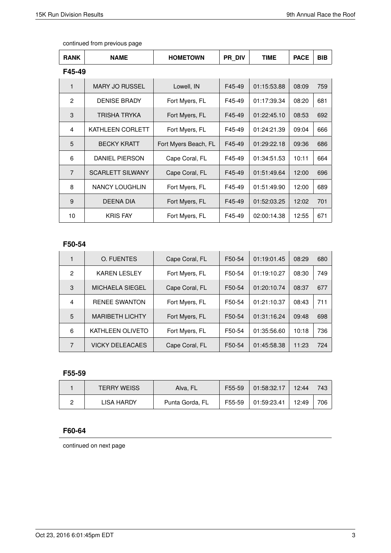| <b>RANK</b>    | <b>NAME</b>             | <b>HOMETOWN</b>      | PR DIV | <b>TIME</b> | <b>PACE</b> | <b>BIB</b> |
|----------------|-------------------------|----------------------|--------|-------------|-------------|------------|
| F45-49         |                         |                      |        |             |             |            |
| 1              | <b>MARY JO RUSSEL</b>   | Lowell, IN           | F45-49 | 01:15:53.88 | 08:09       | 759        |
| $\overline{2}$ | <b>DENISE BRADY</b>     | Fort Myers, FL       | F45-49 | 01:17:39.34 | 08:20       | 681        |
| 3              | TRISHA TRYKA            | Fort Myers, FL       | F45-49 | 01:22:45.10 | 08:53       | 692        |
| 4              | KATHLEEN CORLETT        | Fort Myers, FL       | F45-49 | 01:24:21.39 | 09:04       | 666        |
| 5              | <b>BECKY KRATT</b>      | Fort Myers Beach, FL | F45-49 | 01:29:22.18 | 09:36       | 686        |
| 6              | <b>DANIEL PIERSON</b>   | Cape Coral, FL       | F45-49 | 01:34:51.53 | 10:11       | 664        |
| $\overline{7}$ | <b>SCARLETT SILWANY</b> | Cape Coral, FL       | F45-49 | 01:51:49.64 | 12:00       | 696        |
| 8              | <b>NANCY LOUGHLIN</b>   | Fort Myers, FL       | F45-49 | 01:51:49.90 | 12:00       | 689        |
| 9              | DEENA DIA               | Fort Myers, FL       | F45-49 | 01:52:03.25 | 12:02       | 701        |
| 10             | <b>KRIS FAY</b>         | Fort Myers, FL       | F45-49 | 02:00:14.38 | 12:55       | 671        |

#### **F50-54**

|   | O. FUENTES             | Cape Coral, FL | F50-54 | 01:19:01.45 | 08:29 | 680 |
|---|------------------------|----------------|--------|-------------|-------|-----|
| 2 | <b>KAREN LESLEY</b>    | Fort Myers, FL | F50-54 | 01:19:10.27 | 08:30 | 749 |
| 3 | <b>MICHAELA SIEGEL</b> | Cape Coral, FL | F50-54 | 01:20:10.74 | 08:37 | 677 |
| 4 | <b>RENEE SWANTON</b>   | Fort Myers, FL | F50-54 | 01:21:10.37 | 08:43 | 711 |
| 5 | <b>MARIBETH LICHTY</b> | Fort Myers, FL | F50-54 | 01:31:16.24 | 09:48 | 698 |
| 6 | KATHLEEN OLIVETO       | Fort Myers, FL | F50-54 | 01:35:56.60 | 10:18 | 736 |
| 7 | <b>VICKY DELEACAES</b> | Cape Coral, FL | F50-54 | 01:45:58.38 | 11:23 | 724 |

## **F55-59**

| <b>TERRY WEISS</b> | Alva, FL        | F55-59 | 01:58:32.17 | 12:44 | 743 |
|--------------------|-----------------|--------|-------------|-------|-----|
| LISA HARDY         | Punta Gorda, FL | F55-59 | 01:59:23.41 | 12:49 | 706 |

# **F60-64**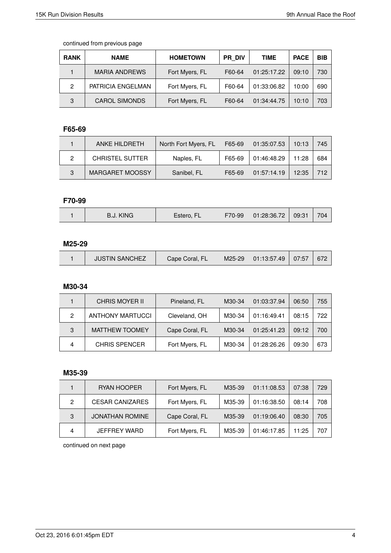| <b>RANK</b> | <b>NAME</b>          | <b>HOMETOWN</b> | <b>PR DIV</b> | TIME        | <b>PACE</b> | <b>BIB</b> |
|-------------|----------------------|-----------------|---------------|-------------|-------------|------------|
|             | <b>MARIA ANDREWS</b> | Fort Myers, FL  | F60-64        | 01:25:17.22 | 09:10       | 730        |
| 2           | PATRICIA ENGELMAN    | Fort Myers, FL  | F60-64        | 01:33:06.82 | 10:00       | 690        |
| 3           | <b>CAROL SIMONDS</b> | Fort Myers, FL  | F60-64        | 01:34:44.75 | 10:10       | 703        |

# **F65-69**

|   | ANKE HILDRETH          | North Fort Myers, FL | F65-69 | 01:35:07.53 | 10:13 | 745 |
|---|------------------------|----------------------|--------|-------------|-------|-----|
| ົ | <b>CHRISTEL SUTTER</b> | Naples, FL           | F65-69 | 01:46:48.29 | 11:28 | 684 |
| 3 | <b>MARGARET MOOSSY</b> | Sanibel, FL          | F65-69 | 01:57:14.19 | 12:35 | 712 |

#### **F70-99**

| 704<br>-- | 09:31<br>$\overline{\phantom{a}}$<br>F70-99<br>01:28:36.72<br><b>KING</b><br>н.<br>D.J. |
|-----------|-----------------------------------------------------------------------------------------|
|-----------|-----------------------------------------------------------------------------------------|

## **M25-29**

| $01:13:57.49$ 07:57<br><b>JUSTIN SANCHEZ</b><br>Cape Coral, FL<br>M25-29<br>672 |
|---------------------------------------------------------------------------------|
|---------------------------------------------------------------------------------|

#### **M30-34**

|   | <b>CHRIS MOYER II</b>   | Pineland, FL   | M30-34 | 01:03:37.94 | 06:50 | 755 |
|---|-------------------------|----------------|--------|-------------|-------|-----|
| 2 | <b>ANTHONY MARTUCCI</b> | Cleveland, OH  | M30-34 | 01:16:49.41 | 08:15 | 722 |
| 3 | <b>MATTHEW TOOMEY</b>   | Cape Coral, FL | M30-34 | 01:25:41.23 | 09:12 | 700 |
|   | <b>CHRIS SPENCER</b>    | Fort Myers, FL | M30-34 | 01:28:26.26 | 09:30 | 673 |

#### **M35-39**

|   | RYAN HOOPER            | Fort Myers, FL | M35-39 | 01:11:08.53 | 07:38 | 729 |
|---|------------------------|----------------|--------|-------------|-------|-----|
| 2 | <b>CESAR CANIZARES</b> | Fort Myers, FL | M35-39 | 01:16:38.50 | 08:14 | 708 |
| 3 | <b>JONATHAN ROMINE</b> | Cape Coral, FL | M35-39 | 01:19:06.40 | 08:30 | 705 |
| 4 | JEFFREY WARD           | Fort Myers, FL | M35-39 | 01:46:17.85 | 11:25 | 707 |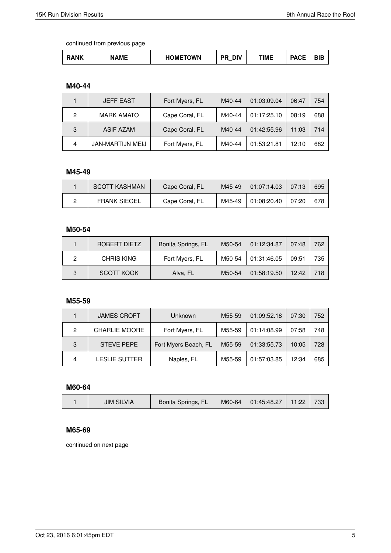| RANK<br>. | NAME<br>TOWN<br>DМE.<br>НC | עוח<br>_ | TIME | <b>DAOP</b><br>AUF | הוה<br>31 C |
|-----------|----------------------------|----------|------|--------------------|-------------|
|-----------|----------------------------|----------|------|--------------------|-------------|

## **M40-44**

|   | <b>JEFF EAST</b>  | Fort Myers, FL | M40-44 | 01:03:09.04 | 06:47 | 754 |
|---|-------------------|----------------|--------|-------------|-------|-----|
| 2 | <b>MARK AMATO</b> | Cape Coral, FL | M40-44 | 01:17:25.10 | 08:19 | 688 |
| 3 | <b>ASIF AZAM</b>  | Cape Coral, FL | M40-44 | 01:42:55.96 | 11:03 | 714 |
| 4 | JAN-MARTIJN MEIJ  | Fort Myers, FL | M40-44 | 01:53:21.81 | 12:10 | 682 |

# **M45-49**

| <b>SCOTT KASHMAN</b> | Cape Coral, FL | M45-49 | 01:07:14.03                 | 07:13 | 695 |
|----------------------|----------------|--------|-----------------------------|-------|-----|
| <b>FRANK SIEGEL</b>  | Cape Coral, FL | M45-49 | $\vert$ 01:08:20.40 $\vert$ | 07:20 | 678 |

## **M50-54**

|   | ROBERT DIETZ      | Bonita Springs, FL | M50-54 | 01:12:34.87 | 07:48 | 762 |
|---|-------------------|--------------------|--------|-------------|-------|-----|
|   | <b>CHRIS KING</b> | Fort Myers, FL     | M50-54 | 01:31:46.05 | 09:51 | 735 |
| 3 | <b>SCOTT KOOK</b> | Alva, FL           | M50-54 | 01:58:19.50 | 12:42 | 718 |

#### **M55-59**

|   | <b>JAMES CROFT</b>   | Unknown              | M55-59 | 01:09:52.18 | 07:30 | 752 |
|---|----------------------|----------------------|--------|-------------|-------|-----|
| 2 | <b>CHARLIE MOORE</b> | Fort Myers, FL       | M55-59 | 01:14:08.99 | 07:58 | 748 |
| 3 | <b>STEVE PEPE</b>    | Fort Myers Beach, FL | M55-59 | 01:33:55.73 | 10:05 | 728 |
| 4 | <b>LESLIE SUTTER</b> | Naples, FL           | M55-59 | 01:57:03.85 | 12:34 | 685 |

#### **M60-64**

| 733<br>Bonita Springs, FL<br> 01:45:48.27 <br>JIM SILVIA<br>11:22<br>$M60-64$ |
|-------------------------------------------------------------------------------|
|-------------------------------------------------------------------------------|

## **M65-69**